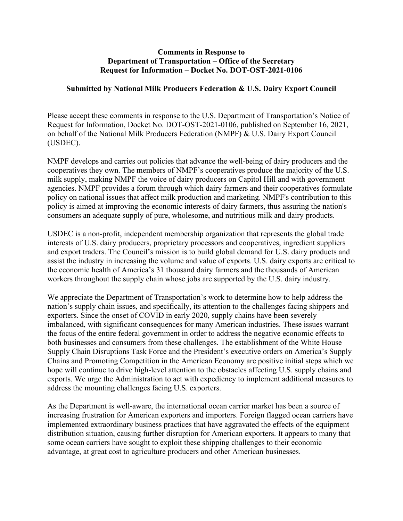#### **Comments in Response to Department of Transportation – Office of the Secretary Request for Information – Docket No. DOT-OST-2021-0106**

#### **Submitted by National Milk Producers Federation & U.S. Dairy Export Council**

Please accept these comments in response to the U.S. Department of Transportation's Notice of Request for Information, Docket No. DOT-OST-2021-0106, published on September 16, 2021, on behalf of the National Milk Producers Federation (NMPF) & U.S. Dairy Export Council (USDEC).

NMPF develops and carries out policies that advance the well-being of dairy producers and the cooperatives they own. The members of NMPF's cooperatives produce the majority of the U.S. milk supply, making NMPF the voice of dairy producers on Capitol Hill and with government agencies. NMPF provides a forum through which dairy farmers and their cooperatives formulate policy on national issues that affect milk production and marketing. NMPF's contribution to this policy is aimed at improving the economic interests of dairy farmers, thus assuring the nation's consumers an adequate supply of pure, wholesome, and nutritious milk and dairy products.

USDEC is a non-profit, independent membership organization that represents the global trade interests of U.S. dairy producers, proprietary processors and cooperatives, ingredient suppliers and export traders. The Council's mission is to build global demand for U.S. dairy products and assist the industry in increasing the volume and value of exports. U.S. dairy exports are critical to the economic health of America's 31 thousand dairy farmers and the thousands of American workers throughout the supply chain whose jobs are supported by the U.S. dairy industry.

We appreciate the Department of Transportation's work to determine how to help address the nation's supply chain issues, and specifically, its attention to the challenges facing shippers and exporters. Since the onset of COVID in early 2020, supply chains have been severely imbalanced, with significant consequences for many American industries. These issues warrant the focus of the entire federal government in order to address the negative economic effects to both businesses and consumers from these challenges. The establishment of the White House Supply Chain Disruptions Task Force and the President's executive orders on America's Supply Chains and Promoting Competition in the American Economy are positive initial steps which we hope will continue to drive high-level attention to the obstacles affecting U.S. supply chains and exports. We urge the Administration to act with expediency to implement additional measures to address the mounting challenges facing U.S. exporters.

As the Department is well-aware, the international ocean carrier market has been a source of increasing frustration for American exporters and importers. Foreign flagged ocean carriers have implemented extraordinary business practices that have aggravated the effects of the equipment distribution situation, causing further disruption for American exporters. It appears to many that some ocean carriers have sought to exploit these shipping challenges to their economic advantage, at great cost to agriculture producers and other American businesses.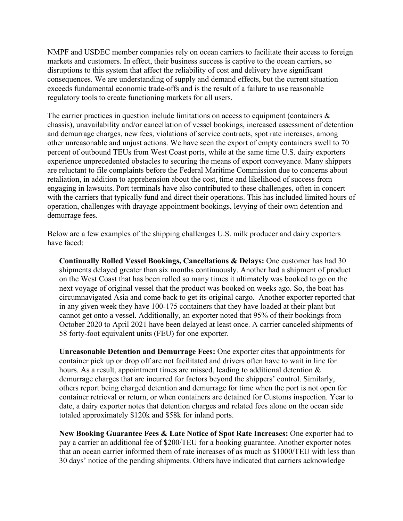NMPF and USDEC member companies rely on ocean carriers to facilitate their access to foreign markets and customers. In effect, their business success is captive to the ocean carriers, so disruptions to this system that affect the reliability of cost and delivery have significant consequences. We are understanding of supply and demand effects, but the current situation exceeds fundamental economic trade-offs and is the result of a failure to use reasonable regulatory tools to create functioning markets for all users.

The carrier practices in question include limitations on access to equipment (containers  $\&$ chassis), unavailability and/or cancellation of vessel bookings, increased assessment of detention and demurrage charges, new fees, violations of service contracts, spot rate increases, among other unreasonable and unjust actions. We have seen the export of empty containers swell to 70 percent of outbound TEUs from West Coast ports, while at the same time U.S. dairy exporters experience unprecedented obstacles to securing the means of export conveyance. Many shippers are reluctant to file complaints before the Federal Maritime Commission due to concerns about retaliation, in addition to apprehension about the cost, time and likelihood of success from engaging in lawsuits. Port terminals have also contributed to these challenges, often in concert with the carriers that typically fund and direct their operations. This has included limited hours of operation, challenges with drayage appointment bookings, levying of their own detention and demurrage fees.

Below are a few examples of the shipping challenges U.S. milk producer and dairy exporters have faced:

**Continually Rolled Vessel Bookings, Cancellations & Delays:** One customer has had 30 shipments delayed greater than six months continuously. Another had a shipment of product on the West Coast that has been rolled so many times it ultimately was booked to go on the next voyage of original vessel that the product was booked on weeks ago. So, the boat has circumnavigated Asia and come back to get its original cargo. Another exporter reported that in any given week they have 100-175 containers that they have loaded at their plant but cannot get onto a vessel. Additionally, an exporter noted that 95% of their bookings from October 2020 to April 2021 have been delayed at least once. A carrier canceled shipments of 58 forty-foot equivalent units (FEU) for one exporter.

**Unreasonable Detention and Demurrage Fees:** One exporter cites that appointments for container pick up or drop off are not facilitated and drivers often have to wait in line for hours. As a result, appointment times are missed, leading to additional detention  $\&$ demurrage charges that are incurred for factors beyond the shippers' control. Similarly, others report being charged detention and demurrage for time when the port is not open for container retrieval or return, or when containers are detained for Customs inspection. Year to date, a dairy exporter notes that detention charges and related fees alone on the ocean side totaled approximately \$120k and \$58k for inland ports.

**New Booking Guarantee Fees & Late Notice of Spot Rate Increases:** One exporter had to pay a carrier an additional fee of \$200/TEU for a booking guarantee. Another exporter notes that an ocean carrier informed them of rate increases of as much as \$1000/TEU with less than 30 days' notice of the pending shipments. Others have indicated that carriers acknowledge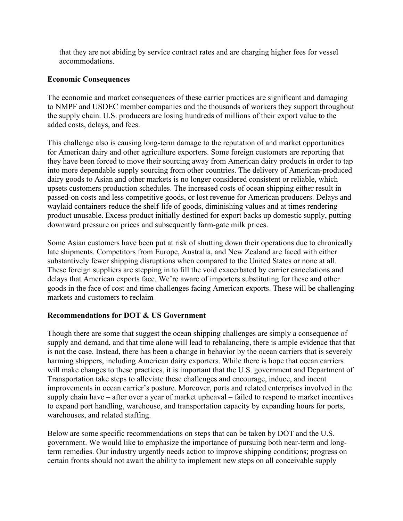that they are not abiding by service contract rates and are charging higher fees for vessel accommodations.

## **Economic Consequences**

The economic and market consequences of these carrier practices are significant and damaging to NMPF and USDEC member companies and the thousands of workers they support throughout the supply chain. U.S. producers are losing hundreds of millions of their export value to the added costs, delays, and fees.

This challenge also is causing long-term damage to the reputation of and market opportunities for American dairy and other agriculture exporters. Some foreign customers are reporting that they have been forced to move their sourcing away from American dairy products in order to tap into more dependable supply sourcing from other countries. The delivery of American-produced dairy goods to Asian and other markets is no longer considered consistent or reliable, which upsets customers production schedules. The increased costs of ocean shipping either result in passed-on costs and less competitive goods, or lost revenue for American producers. Delays and waylaid containers reduce the shelf-life of goods, diminishing values and at times rendering product unusable. Excess product initially destined for export backs up domestic supply, putting downward pressure on prices and subsequently farm-gate milk prices.

Some Asian customers have been put at risk of shutting down their operations due to chronically late shipments. Competitors from Europe, Australia, and New Zealand are faced with either substantively fewer shipping disruptions when compared to the United States or none at all. These foreign suppliers are stepping in to fill the void exacerbated by carrier cancelations and delays that American exports face. We're aware of importers substituting for these and other goods in the face of cost and time challenges facing American exports. These will be challenging markets and customers to reclaim

# **Recommendations for DOT & US Government**

Though there are some that suggest the ocean shipping challenges are simply a consequence of supply and demand, and that time alone will lead to rebalancing, there is ample evidence that that is not the case. Instead, there has been a change in behavior by the ocean carriers that is severely harming shippers, including American dairy exporters. While there is hope that ocean carriers will make changes to these practices, it is important that the U.S. government and Department of Transportation take steps to alleviate these challenges and encourage, induce, and incent improvements in ocean carrier's posture. Moreover, ports and related enterprises involved in the supply chain have – after over a year of market upheaval – failed to respond to market incentives to expand port handling, warehouse, and transportation capacity by expanding hours for ports, warehouses, and related staffing.

Below are some specific recommendations on steps that can be taken by DOT and the U.S. government. We would like to emphasize the importance of pursuing both near-term and longterm remedies. Our industry urgently needs action to improve shipping conditions; progress on certain fronts should not await the ability to implement new steps on all conceivable supply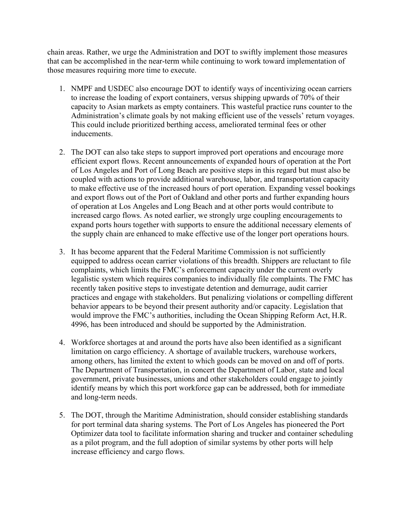chain areas. Rather, we urge the Administration and DOT to swiftly implement those measures that can be accomplished in the near-term while continuing to work toward implementation of those measures requiring more time to execute.

- 1. NMPF and USDEC also encourage DOT to identify ways of incentivizing ocean carriers to increase the loading of export containers, versus shipping upwards of 70% of their capacity to Asian markets as empty containers. This wasteful practice runs counter to the Administration's climate goals by not making efficient use of the vessels' return voyages. This could include prioritized berthing access, ameliorated terminal fees or other inducements.
- 2. The DOT can also take steps to support improved port operations and encourage more efficient export flows. Recent announcements of expanded hours of operation at the Port of Los Angeles and Port of Long Beach are positive steps in this regard but must also be coupled with actions to provide additional warehouse, labor, and transportation capacity to make effective use of the increased hours of port operation. Expanding vessel bookings and export flows out of the Port of Oakland and other ports and further expanding hours of operation at Los Angeles and Long Beach and at other ports would contribute to increased cargo flows. As noted earlier, we strongly urge coupling encouragements to expand ports hours together with supports to ensure the additional necessary elements of the supply chain are enhanced to make effective use of the longer port operations hours.
- 3. It has become apparent that the Federal Maritime Commission is not sufficiently equipped to address ocean carrier violations of this breadth. Shippers are reluctant to file complaints, which limits the FMC's enforcement capacity under the current overly legalistic system which requires companies to individually file complaints. The FMC has recently taken positive steps to investigate detention and demurrage, audit carrier practices and engage with stakeholders. But penalizing violations or compelling different behavior appears to be beyond their present authority and/or capacity. Legislation that would improve the FMC's authorities, including the Ocean Shipping Reform Act, H.R. 4996, has been introduced and should be supported by the Administration.
- 4. Workforce shortages at and around the ports have also been identified as a significant limitation on cargo efficiency. A shortage of available truckers, warehouse workers, among others, has limited the extent to which goods can be moved on and off of ports. The Department of Transportation, in concert the Department of Labor, state and local government, private businesses, unions and other stakeholders could engage to jointly identify means by which this port workforce gap can be addressed, both for immediate and long-term needs.
- 5. The DOT, through the Maritime Administration, should consider establishing standards for port terminal data sharing systems. The Port of Los Angeles has pioneered the Port Optimizer data tool to facilitate information sharing and trucker and container scheduling as a pilot program, and the full adoption of similar systems by other ports will help increase efficiency and cargo flows.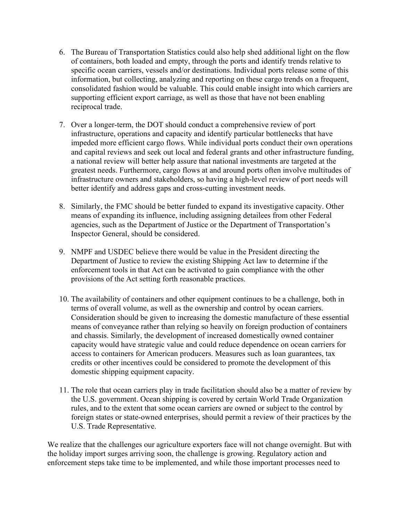- 6. The Bureau of Transportation Statistics could also help shed additional light on the flow of containers, both loaded and empty, through the ports and identify trends relative to specific ocean carriers, vessels and/or destinations. Individual ports release some of this information, but collecting, analyzing and reporting on these cargo trends on a frequent, consolidated fashion would be valuable. This could enable insight into which carriers are supporting efficient export carriage, as well as those that have not been enabling reciprocal trade.
- 7. Over a longer-term, the DOT should conduct a comprehensive review of port infrastructure, operations and capacity and identify particular bottlenecks that have impeded more efficient cargo flows. While individual ports conduct their own operations and capital reviews and seek out local and federal grants and other infrastructure funding, a national review will better help assure that national investments are targeted at the greatest needs. Furthermore, cargo flows at and around ports often involve multitudes of infrastructure owners and stakeholders, so having a high-level review of port needs will better identify and address gaps and cross-cutting investment needs.
- 8. Similarly, the FMC should be better funded to expand its investigative capacity. Other means of expanding its influence, including assigning detailees from other Federal agencies, such as the Department of Justice or the Department of Transportation's Inspector General, should be considered.
- 9. NMPF and USDEC believe there would be value in the President directing the Department of Justice to review the existing Shipping Act law to determine if the enforcement tools in that Act can be activated to gain compliance with the other provisions of the Act setting forth reasonable practices.
- 10. The availability of containers and other equipment continues to be a challenge, both in terms of overall volume, as well as the ownership and control by ocean carriers. Consideration should be given to increasing the domestic manufacture of these essential means of conveyance rather than relying so heavily on foreign production of containers and chassis. Similarly, the development of increased domestically owned container capacity would have strategic value and could reduce dependence on ocean carriers for access to containers for American producers. Measures such as loan guarantees, tax credits or other incentives could be considered to promote the development of this domestic shipping equipment capacity.
- 11. The role that ocean carriers play in trade facilitation should also be a matter of review by the U.S. government. Ocean shipping is covered by certain World Trade Organization rules, and to the extent that some ocean carriers are owned or subject to the control by foreign states or state-owned enterprises, should permit a review of their practices by the U.S. Trade Representative.

We realize that the challenges our agriculture exporters face will not change overnight. But with the holiday import surges arriving soon, the challenge is growing. Regulatory action and enforcement steps take time to be implemented, and while those important processes need to